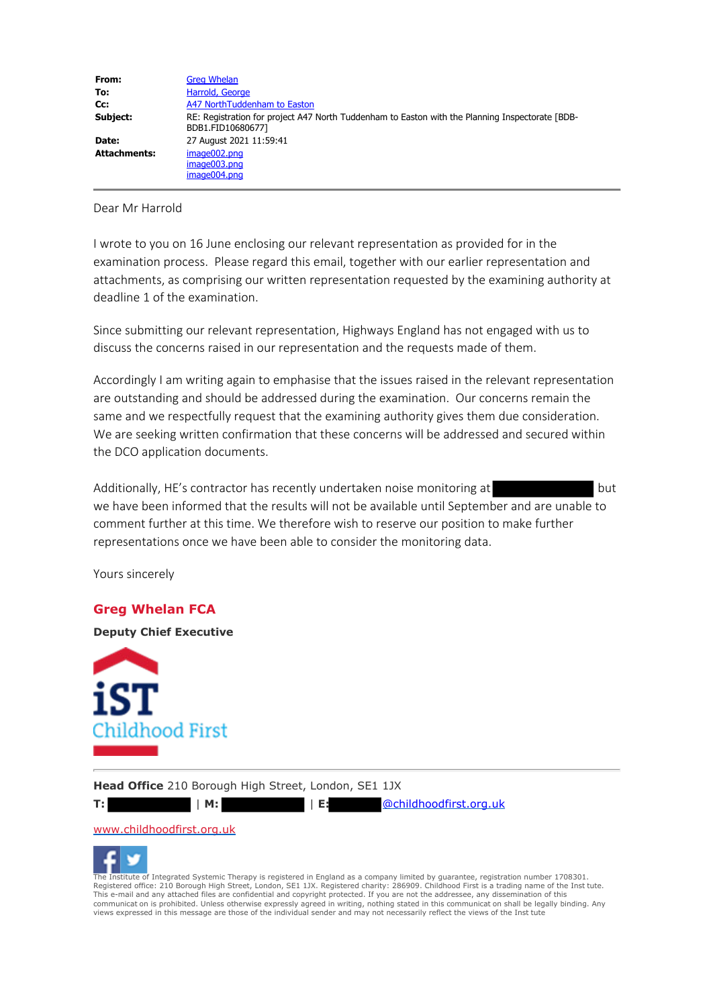| From:               | <b>Greg Whelan</b>                                                                                                   |
|---------------------|----------------------------------------------------------------------------------------------------------------------|
| To:                 | Harrold, George                                                                                                      |
| Cc:                 | A47 NorthTuddenham to Easton                                                                                         |
| Subject:            | RE: Registration for project A47 North Tuddenham to Easton with the Planning Inspectorate [BDB-<br>BDB1.FID10680677] |
| Date:               | 27 August 2021 11:59:41                                                                                              |
| <b>Attachments:</b> | image002.png<br>image003.png<br>image004.png                                                                         |

Dear Mr Harrold

I wrote to you on 16 June enclosing our relevant representation as provided for in the examination process. Please regard this email, together with our earlier representation and attachments, as comprising our written representation requested by the examining authority at deadline 1 of the examination.

Since submitting our relevant representation, Highways England has not engaged with us to discuss the concerns raised in our representation and the requests made of them.

Accordingly I am writing again to emphasise that the issues raised in the relevant representation are outstanding and should be addressed during the examination. Our concerns remain the same and we respectfully request that the examining authority gives them due consideration. We are seeking written confirmation that these concerns will be addressed and secured within the DCO application documents.

Additionally, HE's contractor has recently undertaken noise monitoring at but we have been informed that the results will not be available until September and are unable to comment further at this time. We therefore wish to reserve our position to make further representations once we have been able to consider the monitoring data.

Yours sincerely

## **Greg Whelan FCA**

**Deputy Chief Executive**



**Head Office** 210 Borough High Street, London, SE1 1JX



**T:** | **M:** | **E:** @childhoodfirst.org.uk

#### www.childhoodfirst.org.uk



The Institute of Integrated Systemic Therapy is registered in England as a company limited by guarantee, registration number 1708301. Registered office: 210 Borough High Street, London, SE1 1JX. Registered charity: 286909. Childhood First is a trading name of the Inst tute. This e-mail and any attached files are confidential and copyright protected. If you are not the addressee, any dissemination of this<br>communicat on is prohibited. Unless otherwise expressly agreed in writing, nothing stated views expressed in this message are those of the individual sender and may not necessarily reflect the views of the Inst tute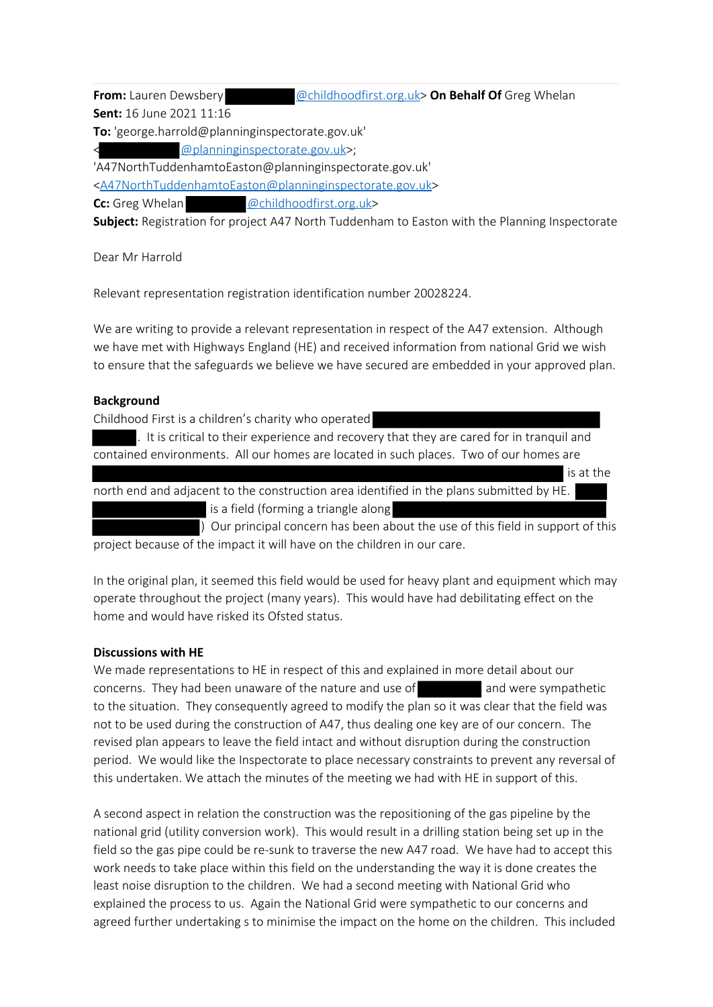**From:** Lauren Dewsbery **and America Contact Constant Of Cause on Behalf Of** Greg Whelan

**Sent:** 16 June 2021 11:16

**To:** 'george.harrold@planninginspectorate.gov.uk'

 $@$  planninginspectorate.gov.uk>:

'A47NorthTuddenhamtoEaston@planninginspectorate.gov.uk'

<A47NorthTuddenhamtoEaston@planninginspectorate.gov.uk>

**Cc:** Greg Whelan @childhoodfirst.org.uk>

**Subject:** Registration for project A47 North Tuddenham to Easton with the Planning Inspectorate

Dear Mr Harrold

Relevant representation registration identification number 20028224.

We are writing to provide a relevant representation in respect of the A47 extension. Although we have met with Highways England (HE) and received information from national Grid we wish to ensure that the safeguards we believe we have secured are embedded in your approved plan.

# **Background**

Childhood First is a children's charity who operated

. It is critical to their experience and recovery that they are cared for in tranquil and contained environments. All our homes are located in such places. Two of our homes are

 is at the north end and adjacent to the construction area identified in the plans submitted by HE. is a field (forming a triangle along

) Our principal concern has been about the use of this field in support of this project because of the impact it will have on the children in our care.

In the original plan, it seemed this field would be used for heavy plant and equipment which may operate throughout the project (many years). This would have had debilitating effect on the home and would have risked its Ofsted status.

# **Discussions with HE**

We made representations to HE in respect of this and explained in more detail about our concerns. They had been unaware of the nature and use of and were sympathetic to the situation. They consequently agreed to modify the plan so it was clear that the field was not to be used during the construction of A47, thus dealing one key are of our concern. The revised plan appears to leave the field intact and without disruption during the construction period. We would like the Inspectorate to place necessary constraints to prevent any reversal of this undertaken. We attach the minutes of the meeting we had with HE in support of this.

A second aspect in relation the construction was the repositioning of the gas pipeline by the national grid (utility conversion work). This would result in a drilling station being set up in the field so the gas pipe could be re-sunk to traverse the new A47 road. We have had to accept this work needs to take place within this field on the understanding the way it is done creates the least noise disruption to the children. We had a second meeting with National Grid who explained the process to us. Again the National Grid were sympathetic to our concerns and agreed further undertaking s to minimise the impact on the home on the children. This included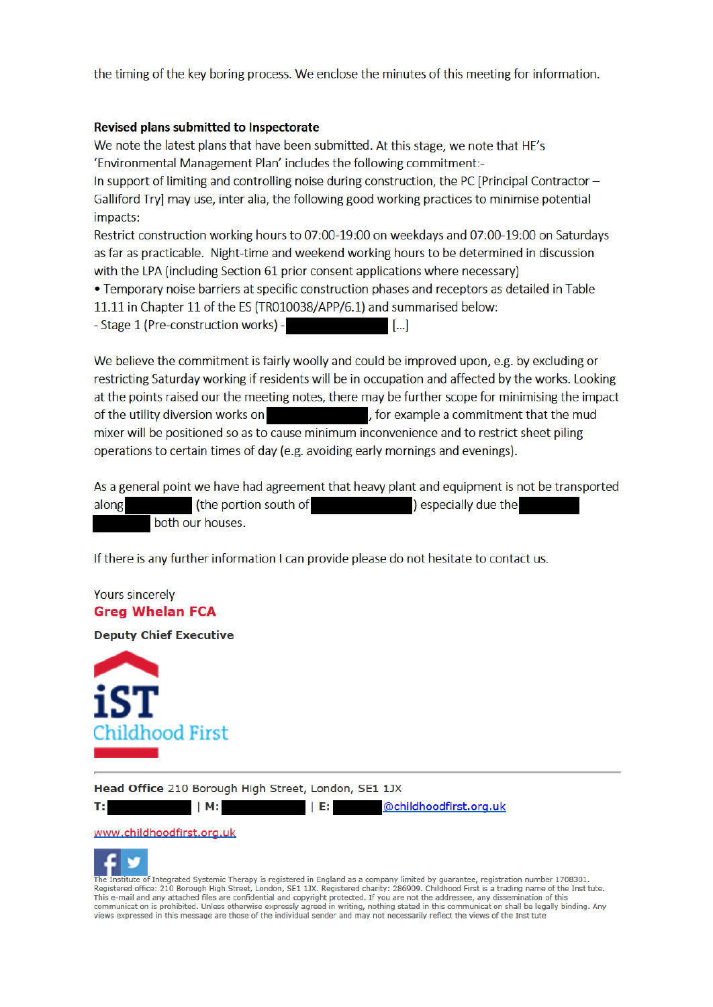the timing of the key boring process. We enclose the minutes of this meeting for information.

### Revised plans submitted to Inspectorate

We note the latest plans that have been submitted. At this stage, we note that HE's 'Environmental Management Plan' includes the following commitment:-In support of limiting and controlling noise during construction, the PC [Principal Contractor  $-$ Galliford Try] may use, inter alia, the following good working practices to minimise potential impacts:

Restrict construction working hours to 07:00-19:00 on weekdays and 07:00-19:00 on Saturdays as far as practicable. Night-time and weekend working hours to be determined in discussion with the LPA (including Section 61 prior consent applications where necessary)

. Temporary noise barriers at specific construction phases and receptors as detailed in Table 11.11 in Chapter 11 of the ES (TR010038/APP/6.1) and summarised below:

- Stage 1 (Pre-construction works) -

We believe the commitment is fairly woolly and could be improved upon, e.g. by excluding or restricting Saturday working if residents will be in occupation and affected by the works. Looking at the points raised our the meeting notes, there may be further scope for minimising the impact of the utility diversion works on the state of the stample a commitment that the mud mixer will be positioned so as to cause minimum inconvenience and to restrict sheet piling operations to certain times of day (e.g. avoiding early mornings and evenings).

 $\blacksquare$ 

As a general point we have had agreement that heavy plant and equipment is not be transported (the portion south of example as a ) especially due the along both our houses.

If there is any further information I can provide please do not hesitate to contact us.

# **Yours sincerely Greg Whelan FCA**

**Deputy Chief Executive** 



Head Office 210 Borough High Street, London, SE1 1JX





@childhoodfirst.org.uk  $\parallel$  E:



 $|M:$ 



The Institute of Integrated Systemic Therapy is registered in England as a company limited by guarantee, registration number 1708301. Registered office: 210 Borough High Street, London, SE1 1JX, Registered charity: 286909, Childhood First is a trading name of the Inst tute. This e-mail and any attached files are confidential and copyright protected. If you are not the addressee, any dissemination of this communicat on is prohibited. Unless otherwise expressly agreed in writing, nothing stated in this communicat on shall be legally binding. Any views expressed in this message are those of the individual sender and may not necessarily reflect the views of the Inst tute